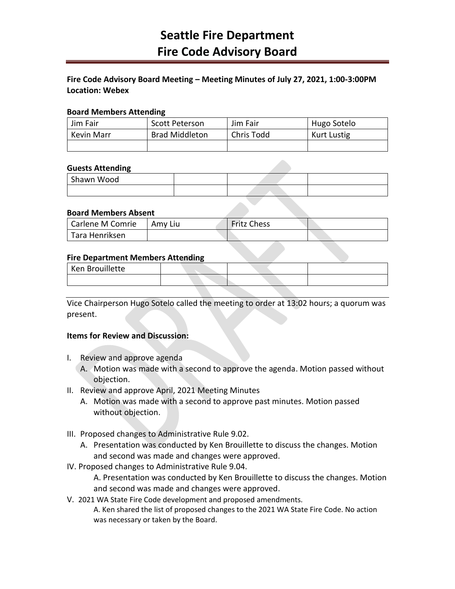## **Fire Code Advisory Board Meeting – Meeting Minutes of July 27, 2021, 1:00-3:00PM Location: Webex**

#### **Board Members Attending**

| Jim Fair   | Scott Peterson        | Jim Fair   | Hugo Sotelo |
|------------|-----------------------|------------|-------------|
| Kevin Marr | <b>Brad Middleton</b> | Chris Todd | Kurt Lustig |
|            |                       |            |             |

#### **Guests Attending**

| .          |  |  |
|------------|--|--|
| Shawn Wood |  |  |
|            |  |  |

## **Board Members Absent**

| Carlene M Comrie | Amy Liu | <b>Fritz Chess</b> |  |
|------------------|---------|--------------------|--|
| Tara Henriksen   |         |                    |  |

## **Fire Department Members Attending**

| Ken Brouillette |  |  |
|-----------------|--|--|
|                 |  |  |

Vice Chairperson Hugo Sotelo called the meeting to order at 13:02 hours; a quorum was present.

#### **Items for Review and Discussion:**

- I. Review and approve agenda
	- A. Motion was made with a second to approve the agenda. Motion passed without objection.
- II. Review and approve April, 2021 Meeting Minutes
	- A. Motion was made with a second to approve past minutes. Motion passed without objection.
- III. Proposed changes to Administrative Rule 9.02.
	- A. Presentation was conducted by Ken Brouillette to discuss the changes. Motion and second was made and changes were approved.
- IV. Proposed changes to Administrative Rule 9.04.

A. Presentation was conducted by Ken Brouillette to discuss the changes. Motion and second was made and changes were approved.

V. 2021 WA State Fire Code development and proposed amendments. A. Ken shared the list of proposed changes to the 2021 WA State Fire Code. No action was necessary or taken by the Board.